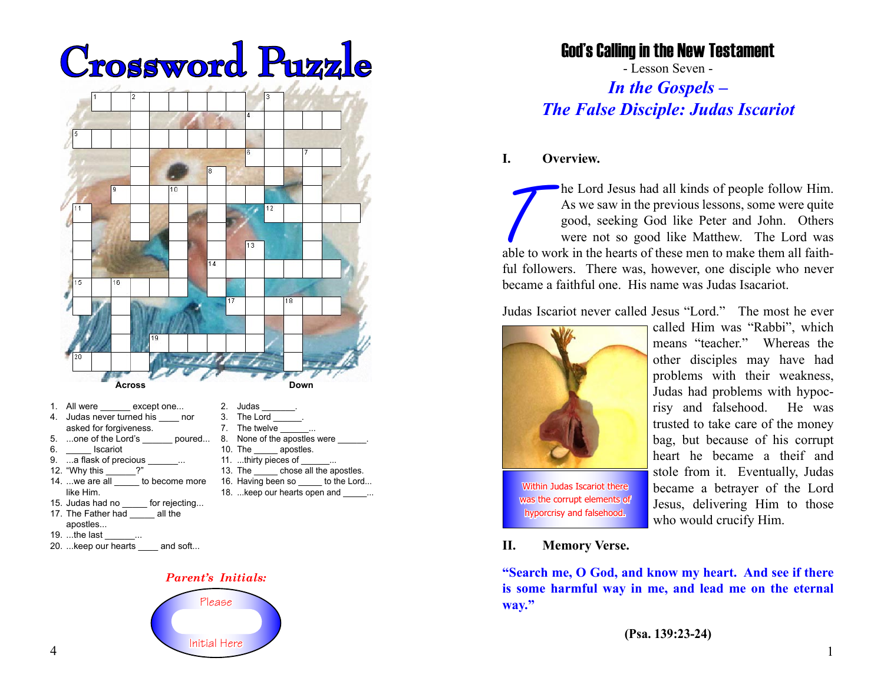

*Parent's Initials:*

Please

Initial Here

The Lord Jesus had all kinds of people follow Him. As we saw in the previous lessons, some were quite good, seeking God like Peter and John. Others were not so good like Matthew. The Lord was able to work in the hearts of these men to make them all faithful followers. There was, however, one disciple who never became a faithful one. His name was Judas Isacariot.

- Lesson Seven - *In the Gospels – The False Disciple: Judas Iscariot*

God's Calling in the New Testament

Judas Iscariot never called Jesus "Lord." The most he ever



**I. Overview.**

called Him was "Rabbi", which means "teacher." Whereas the other disciples may have had problems with their weakness, Judas had problems with hypocrisy and falsehood. He was trusted to take care of the money bag, but because of his corrupt heart he became a theif and stole from it. Eventually, Judas became a betrayer of the Lord Jesus, delivering Him to those who would crucify Him.

#### **II. Memory Verse.**

hyporcrisy and falsehood.

**"Search me, O God, and know my heart. And see if there is some harmful way in me, and lead me on the eternal way."**

**(Psa. 139:23-24)**

4